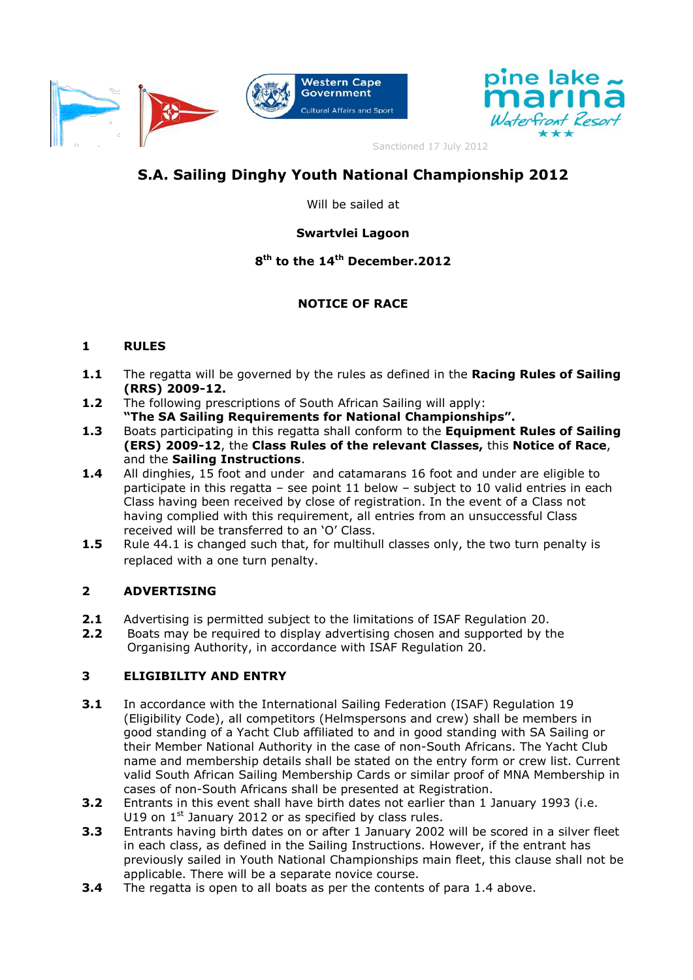



Sanctioned 17 July 2012

# **S.A.!Sailing!Dinghy!Youth!National Championship 2012**

Will be sailed at

# **Swartvlei!Lagoon**

# **8th to the 14th December.2012**

# **NOTICE OF RACE**

### **1 RULES**

- **1.1** The regatta will be governed by the rules as defined in the **Racing Rules of Sailing (RRS)** 2009-12.
- **1.2** The following prescriptions of South African Sailing will apply: **³The SA Sailing Requirements for National Championships´.**
- **1.3** Boats participating in this regatta shall conform to the **Equipment Rules of Sailing (ERS) 2009M12**, the **Class Rules of the relevant!Classes,** this **Notice of Race**, and the **Sailing Instructions**.
- **1.4** All dinghies, 15 foot and under and catamarans 16 foot and under are eligible to participate in this regatta  $-$  see point 11 below  $-$  subject to 10 valid entries in each Class having been received by close of registration. In the event of a Class not having complied with this requirement, all entries from an unsuccessful Class received will be transferred to an 'O' Class.
- **1.5** Rule 44.1 is changed such that, for multihull classes only, the two turn penalty is replaced with a one turn penalty.

# **2 ADVERTISING**

- **2.1** Advertising is permitted subject to the limitations of ISAF Regulation 20.
- **2.2** Boats may be required to display advertising chosen and supported by the Organising Authority, in accordance with ISAF Regulation 20.

# **3 ELIGIBILITY AND ENTRY**

- **3.1** In accordance with the International Sailing Federation (ISAF) Regulation 19 (Eligibility Code), all competitors (Helmspersons and crew) shall be members in good standing of a Yacht Club affiliated to and in good standing with SA Sailing or their Member National Authority in the case of non-South Africans. The Yacht Club name and membership details shall be stated on the entry form or crew list. Current valid South African Sailing Membership Cards or similar proof of MNA Membership in cases of non-South Africans shall be presented at Registration.
- **3.2** Entrants in this event shall have birth dates not earlier than 1 January 1993 (i.e. U19 on  $1<sup>st</sup>$  January 2012 or as specified by class rules.
- **3.3** Entrants having birth dates on or after 1 January 2002 will be scored in a silver fleet in each class, as defined in the Sailing Instructions. However, if the entrant has previously sailed in Youth National Championships main fleet, this clause shall not be applicable. There will be a separate novice course.
- **3.4** The regatta is open to all boats as per the contents of para 1.4 above.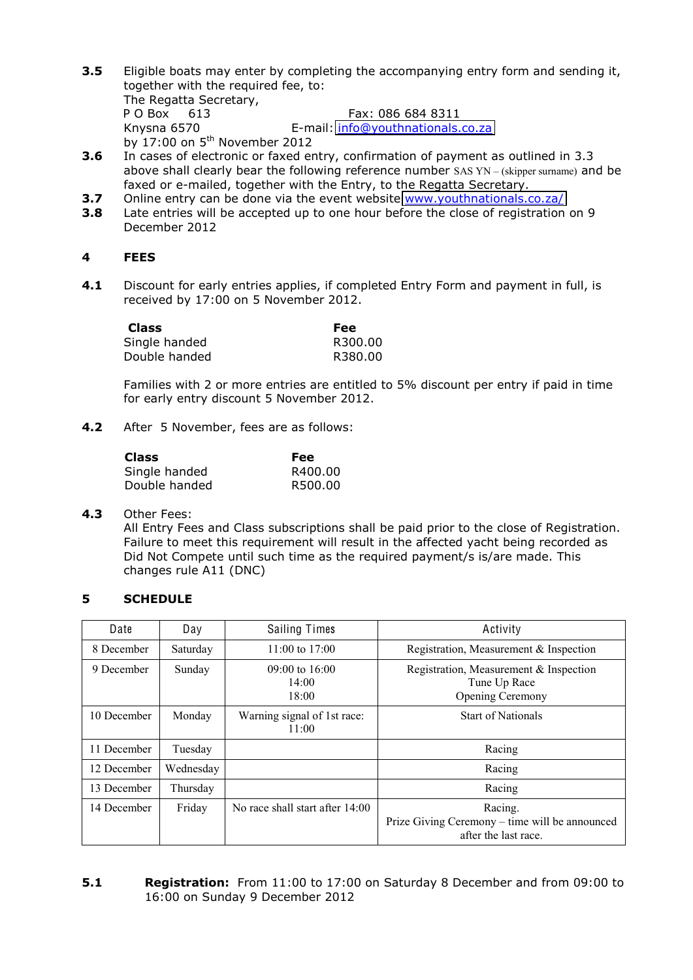**3.5** Eligible boats may enter by completing the accompanying entry form and sending it, together with the required fee, to:

The Regatta Secretary, P O Box 613 Fax: 086 684 8311 Knysna 6570 E-mail: info@youthnationals.co.za by  $17:00$  on  $5^{th}$  November 2012

- **3.6** In cases of electronic or faxed entry, confirmation of payment as outlined in 3.3 above shall clearly bear the following reference number SAS  $YN - (skipper~sum)$  and be faxed or e-mailed, together with the Entry, to the Regatta Secretary.
- **3.7** Online entry can be done via the event website www.youthnationals.co.za/
- **3.8** Late entries will be accepted up to one hour before the close of registration on 9 December 2012

#### **4 FEES**

**4.1** Discount for early entries applies, if completed Entry Form and payment in full, is received by 17:00 on 5 November 2012.

| <b>Class</b>  | Fee     |
|---------------|---------|
| Single handed | R300.00 |
| Double handed | R380.00 |

Families with 2 or more entries are entitled to 5% discount per entry if paid in time for early entry discount 5 November 2012.

**4.2** After 5 November, fees are as follows:

| <b>Class</b>  | Fee     |
|---------------|---------|
| Single handed | R400.00 |
| Double handed | R500.00 |

#### **4.3** Other Fees:

All Entry Fees and Class subscriptions shall be paid prior to the close of Registration. Failure to meet this requirement will result in the affected yacht being recorded as Did Not Compete until such time as the required payment/s is/are made. This changes rule A11 (DNC)

#### **5 SCHEDULE**

| Date        | Day       | <b>Sailing Times</b>                 | Activity                                                                          |
|-------------|-----------|--------------------------------------|-----------------------------------------------------------------------------------|
| 8 December  | Saturday  | $11:00$ to $17:00$                   | Registration, Measurement & Inspection                                            |
| 9 December  | Sunday    | $09:00$ to 16:00<br>14:00<br>18:00   | Registration, Measurement & Inspection<br>Tune Up Race<br>Opening Ceremony        |
| 10 December | Monday    | Warning signal of 1st race:<br>11:00 | <b>Start of Nationals</b>                                                         |
| 11 December | Tuesday   |                                      | Racing                                                                            |
| 12 December | Wednesday |                                      | Racing                                                                            |
| 13 December | Thursday  |                                      | Racing                                                                            |
| 14 December | Friday    | No race shall start after $14:00$    | Racing.<br>Prize Giving Ceremony – time will be announced<br>after the last race. |

#### **5.1 Registration:** From 11:00 to 17:00 on Saturday 8 December and from 09:00 to 16:00 on Sunday 9 December 2012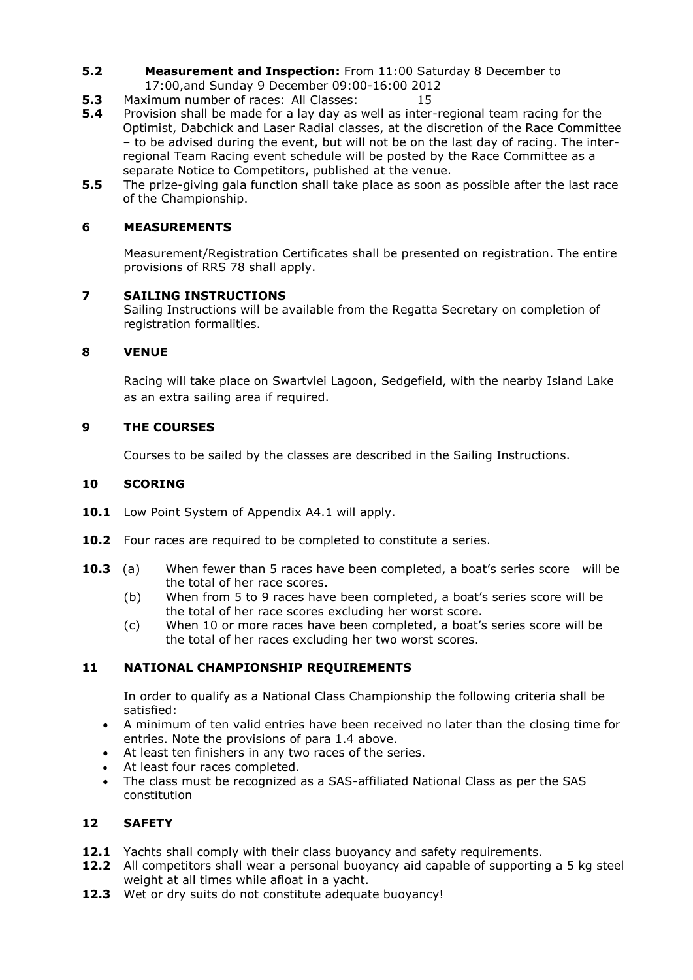- **5.2 Measurement and Inspection:** From 11:00 Saturday 8 December to 17:00,and Sunday 9 December 09:00-16:00 2012
- **5.3** Maximum number of races: All Classes: 15
- **5.4** Provision shall be made for a lay day as well as inter-regional team racing for the Optimist, Dabchick and Laser Radial classes, at the discretion of the Race Committee - to be advised during the event, but will not be on the last day of racing. The interregional Team Racing event schedule will be posted by the Race Committee as a separate Notice to Competitors, published at the venue.
- **5.5** The prize-giving gala function shall take place as soon as possible after the last race of the Championship.

### **6 MEASUREMENTS**

Measurement/Registration Certificates shall be presented on registration. The entire provisions of RRS 78 shall apply.

#### **7 SAILING INSTRUCTIONS**

Sailing Instructions will be available from the Regatta Secretary on completion of registration formalities.

#### **8 VENUE**

Racing will take place on Swartvlei Lagoon, Sedgefield, with the nearby Island Lake as an extra sailing area if required.

#### **9 THE COURSES**

Courses to be sailed by the classes are described in the Sailing Instructions.

#### **10 SCORING**

- **10.1** Low Point System of Appendix A4.1 will apply.
- 10.2 Four races are required to be completed to constitute a series.
- **10.3** (a) When fewer than 5 races have been completed, a boat's series score will be the total of her race scores.
	- (b) When from 5 to 9 races have been completed, a boat's series score will be the total of her race scores excluding her worst score.
	- (c) When 10 or more races have been completed, a boat's series score will be the total of her races excluding her two worst scores.

### **11 NATIONAL CHAMPIONSHIP REQUIREMENTS**

In order to qualify as a National Class Championship the following criteria shall be satisfied:

- A minimum of ten valid entries have been received no later than the closing time for entries. Note the provisions of para 1.4 above.
- At least ten finishers in any two races of the series.
- At least four races completed.
- The class must be recognized as a SAS-affiliated National Class as per the SAS constitution

### **12 SAFETY**

- **12.1** Yachts shall comply with their class buoyancy and safety requirements.
- **12.2** All competitors shall wear a personal buoyancy aid capable of supporting a 5 kg steel weight at all times while afloat in a yacht.
- **12.3** Wet or dry suits do not constitute adequate buoyancy!